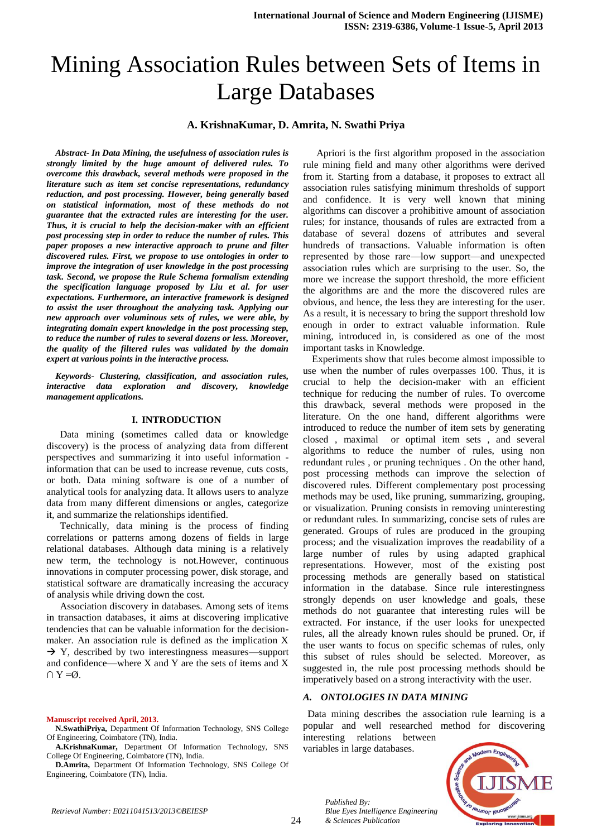# Mining Association Rules between Sets of Items in Large Databases

# **A. KrishnaKumar, D. Amrita, N. Swathi Priya**

*Abstract- In Data Mining, the usefulness of association rules is strongly limited by the huge amount of delivered rules. To overcome this drawback, several methods were proposed in the literature such as item set concise representations, redundancy reduction, and post processing. However, being generally based on statistical information, most of these methods do not guarantee that the extracted rules are interesting for the user. Thus, it is crucial to help the decision-maker with an efficient post processing step in order to reduce the number of rules. This paper proposes a new interactive approach to prune and filter discovered rules. First, we propose to use ontologies in order to improve the integration of user knowledge in the post processing task. Second, we propose the Rule Schema formalism extending the specification language proposed by Liu et al. for user expectations. Furthermore, an interactive framework is designed to assist the user throughout the analyzing task. Applying our new approach over voluminous sets of rules, we were able, by integrating domain expert knowledge in the post processing step, to reduce the number of rules to several dozens or less. Moreover, the quality of the filtered rules was validated by the domain expert at various points in the interactive process.*

*Keywords- Clustering, classification, and association rules, interactive data exploration and discovery, knowledge management applications.*

### **I. INTRODUCTION**

Data mining (sometimes called data or knowledge discovery) is the process of analyzing data from different perspectives and summarizing it into useful information information that can be used to increase revenue, cuts costs, or both. Data mining software is one of a number of analytical tools for analyzing data. It allows users to analyze data from many different dimensions or angles, categorize it, and summarize the relationships identified.

Technically, data mining is the process of finding correlations or patterns among dozens of fields in large relational databases. Although data mining is a relatively new term, the technology is not.However, continuous innovations in computer processing power, disk storage, and statistical software are dramatically increasing the accuracy of analysis while driving down the cost.

Association discovery in databases. Among sets of items in transaction databases, it aims at discovering implicative tendencies that can be valuable information for the decisionmaker. An association rule is defined as the implication X  $\rightarrow$  Y, described by two interestingness measures—support and confidence—where X and Y are the sets of items and X  $\cap$  Y = Ø.

#### **Manuscript received April, 2013.**

**N.SwathiPriya,** Department Of Information Technology, SNS College Of Engineering, Coimbatore (TN), India.

**A.KrishnaKumar,** Department Of Information Technology, SNS College Of Engineering, Coimbatore (TN), India.

**D.Amrita,** Department Of Information Technology, SNS College Of Engineering, Coimbatore (TN), India.

Apriori is the first algorithm proposed in the association rule mining field and many other algorithms were derived from it. Starting from a database, it proposes to extract all association rules satisfying minimum thresholds of support and confidence. It is very well known that mining algorithms can discover a prohibitive amount of association rules; for instance, thousands of rules are extracted from a database of several dozens of attributes and several hundreds of transactions. Valuable information is often represented by those rare—low support—and unexpected association rules which are surprising to the user. So, the more we increase the support threshold, the more efficient the algorithms are and the more the discovered rules are obvious, and hence, the less they are interesting for the user. As a result, it is necessary to bring the support threshold low enough in order to extract valuable information. Rule mining, introduced in, is considered as one of the most important tasks in Knowledge.

Experiments show that rules become almost impossible to use when the number of rules overpasses 100. Thus, it is crucial to help the decision-maker with an efficient technique for reducing the number of rules. To overcome this drawback, several methods were proposed in the literature. On the one hand, different algorithms were introduced to reduce the number of item sets by generating closed , maximal or optimal item sets , and several algorithms to reduce the number of rules, using non redundant rules , or pruning techniques . On the other hand, post processing methods can improve the selection of discovered rules. Different complementary post processing methods may be used, like pruning, summarizing, grouping, or visualization. Pruning consists in removing uninteresting or redundant rules. In summarizing, concise sets of rules are generated. Groups of rules are produced in the grouping process; and the visualization improves the readability of a large number of rules by using adapted graphical representations. However, most of the existing post processing methods are generally based on statistical information in the database. Since rule interestingness strongly depends on user knowledge and goals, these methods do not guarantee that interesting rules will be extracted. For instance, if the user looks for unexpected rules, all the already known rules should be pruned. Or, if the user wants to focus on specific schemas of rules, only this subset of rules should be selected. Moreover, as suggested in, the rule post processing methods should be imperatively based on a strong interactivity with the user.

## *A. ONTOLOGIES IN DATA MINING*

*Blue Eyes Intelligence Engineering* 

Data mining describes the association rule learning is a popular and well researched method for discovering interesting relations between

variables in large databases.

*Published By:*

*& Sciences Publication* 

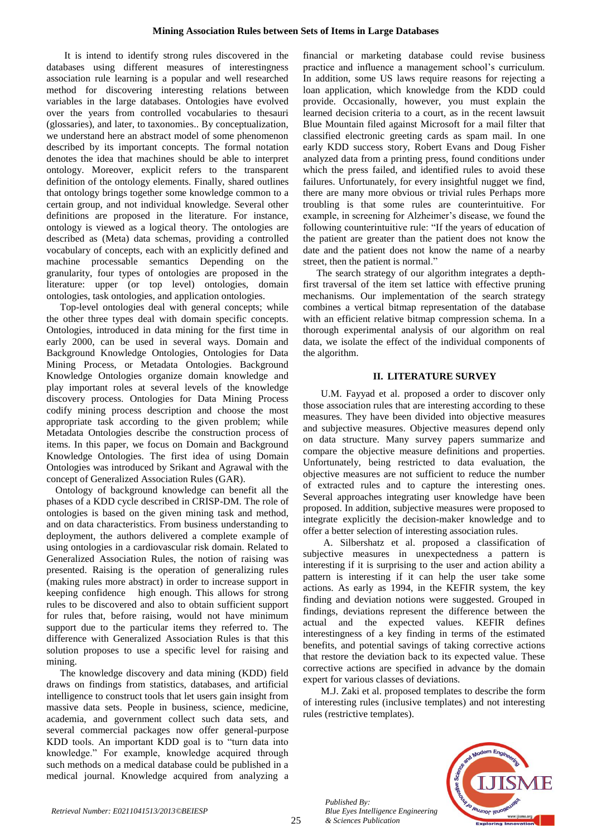It is intend to identify strong rules discovered in the databases using different measures of interestingness association rule learning is a popular and well researched method for discovering interesting relations between variables in the large databases. Ontologies have evolved over the years from controlled vocabularies to thesauri (glossaries), and later, to taxonomies.. By conceptualization, we understand here an abstract model of some phenomenon described by its important concepts. The formal notation denotes the idea that machines should be able to interpret ontology. Moreover, explicit refers to the transparent definition of the ontology elements. Finally, shared outlines that ontology brings together some knowledge common to a certain group, and not individual knowledge. Several other definitions are proposed in the literature. For instance, ontology is viewed as a logical theory. The ontologies are described as (Meta) data schemas, providing a controlled vocabulary of concepts, each with an explicitly defined and machine processable semantics Depending on the granularity, four types of ontologies are proposed in the literature: upper (or top level) ontologies, domain ontologies, task ontologies, and application ontologies.

Top-level ontologies deal with general concepts; while the other three types deal with domain specific concepts. Ontologies, introduced in data mining for the first time in early 2000, can be used in several ways. Domain and Background Knowledge Ontologies, Ontologies for Data Mining Process, or Metadata Ontologies. Background Knowledge Ontologies organize domain knowledge and play important roles at several levels of the knowledge discovery process. Ontologies for Data Mining Process codify mining process description and choose the most appropriate task according to the given problem; while Metadata Ontologies describe the construction process of items. In this paper, we focus on Domain and Background Knowledge Ontologies. The first idea of using Domain Ontologies was introduced by Srikant and Agrawal with the concept of Generalized Association Rules (GAR).

Ontology of background knowledge can benefit all the phases of a KDD cycle described in CRISP-DM. The role of ontologies is based on the given mining task and method, and on data characteristics. From business understanding to deployment, the authors delivered a complete example of using ontologies in a cardiovascular risk domain. Related to Generalized Association Rules, the notion of raising was presented. Raising is the operation of generalizing rules (making rules more abstract) in order to increase support in keeping confidence high enough. This allows for strong rules to be discovered and also to obtain sufficient support for rules that, before raising, would not have minimum support due to the particular items they referred to. The difference with Generalized Association Rules is that this solution proposes to use a specific level for raising and mining.

The knowledge discovery and data mining (KDD) field draws on findings from statistics, databases, and artificial intelligence to construct tools that let users gain insight from massive data sets. People in business, science, medicine, academia, and government collect such data sets, and several commercial packages now offer general-purpose KDD tools. An important KDD goal is to "turn data into knowledge." For example, knowledge acquired through such methods on a medical database could be published in a medical journal. Knowledge acquired from analyzing a

financial or marketing database could revise business practice and influence a management school's curriculum. In addition, some US laws require reasons for rejecting a loan application, which knowledge from the KDD could provide. Occasionally, however, you must explain the learned decision criteria to a court, as in the recent lawsuit Blue Mountain filed against Microsoft for a mail filter that classified electronic greeting cards as spam mail. In one early KDD success story, Robert Evans and Doug Fisher analyzed data from a printing press, found conditions under which the press failed, and identified rules to avoid these failures. Unfortunately, for every insightful nugget we find, there are many more obvious or trivial rules Perhaps more troubling is that some rules are counterintuitive. For example, in screening for Alzheimer's disease, we found the following counterintuitive rule: "If the years of education of the patient are greater than the patient does not know the date and the patient does not know the name of a nearby street, then the patient is normal."

The search strategy of our algorithm integrates a depthfirst traversal of the item set lattice with effective pruning mechanisms. Our implementation of the search strategy combines a vertical bitmap representation of the database with an efficient relative bitmap compression schema. In a thorough experimental analysis of our algorithm on real data, we isolate the effect of the individual components of the algorithm.

# **II. LITERATURE SURVEY**

U.M. Fayyad et al. proposed a order to discover only those association rules that are interesting according to these measures. They have been divided into objective measures and subjective measures. Objective measures depend only on data structure. Many survey papers summarize and compare the objective measure definitions and properties. Unfortunately, being restricted to data evaluation, the objective measures are not sufficient to reduce the number of extracted rules and to capture the interesting ones. Several approaches integrating user knowledge have been proposed. In addition, subjective measures were proposed to integrate explicitly the decision-maker knowledge and to offer a better selection of interesting association rules.

A. Silbershatz et al. proposed a classification of subjective measures in unexpectedness a pattern is interesting if it is surprising to the user and action ability a pattern is interesting if it can help the user take some actions. As early as 1994, in the KEFIR system, the key finding and deviation notions were suggested. Grouped in findings, deviations represent the difference between the actual and the expected values. KEFIR defines interestingness of a key finding in terms of the estimated benefits, and potential savings of taking corrective actions that restore the deviation back to its expected value. These corrective actions are specified in advance by the domain expert for various classes of deviations.

M.J. Zaki et al. proposed templates to describe the form of interesting rules (inclusive templates) and not interesting rules (restrictive templates).

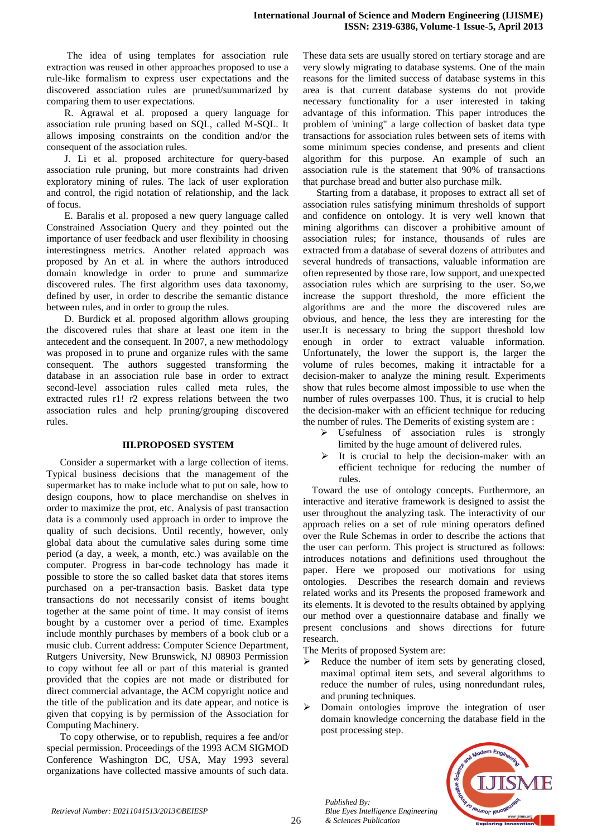The idea of using templates for association rule extraction was reused in other approaches proposed to use a rule-like formalism to express user expectations and the discovered association rules are pruned/summarized by comparing them to user expectations.

R. Agrawal et al. proposed a query language for association rule pruning based on SQL, called M-SQL. It allows imposing constraints on the condition and/or the consequent of the association rules.

J. Li et al. proposed architecture for query-based association rule pruning, but more constraints had driven exploratory mining of rules. The lack of user exploration and control, the rigid notation of relationship, and the lack of focus.

E. Baralis et al. proposed a new query language called Constrained Association Query and they pointed out the importance of user feedback and user flexibility in choosing interestingness metrics. Another related approach was proposed by An et al. in where the authors introduced domain knowledge in order to prune and summarize discovered rules. The first algorithm uses data taxonomy, defined by user, in order to describe the semantic distance between rules, and in order to group the rules.

D. Burdick et al. proposed algorithm allows grouping the discovered rules that share at least one item in the antecedent and the consequent. In 2007, a new methodology was proposed in to prune and organize rules with the same consequent. The authors suggested transforming the database in an association rule base in order to extract second-level association rules called meta rules, the extracted rules r1! r2 express relations between the two association rules and help pruning/grouping discovered rules.

## **III.PROPOSED SYSTEM**

Consider a supermarket with a large collection of items. Typical business decisions that the management of the supermarket has to make include what to put on sale, how to design coupons, how to place merchandise on shelves in order to maximize the prot, etc. Analysis of past transaction data is a commonly used approach in order to improve the quality of such decisions. Until recently, however, only global data about the cumulative sales during some time period (a day, a week, a month, etc.) was available on the computer. Progress in bar-code technology has made it possible to store the so called basket data that stores items purchased on a per-transaction basis. Basket data type transactions do not necessarily consist of items bought together at the same point of time. It may consist of items bought by a customer over a period of time. Examples include monthly purchases by members of a book club or a music club. Current address: Computer Science Department, Rutgers University, New Brunswick, NJ 08903 Permission to copy without fee all or part of this material is granted provided that the copies are not made or distributed for direct commercial advantage, the ACM copyright notice and the title of the publication and its date appear, and notice is given that copying is by permission of the Association for Computing Machinery.

To copy otherwise, or to republish, requires a fee and/or special permission. Proceedings of the 1993 ACM SIGMOD Conference Washington DC, USA, May 1993 several organizations have collected massive amounts of such data. These data sets are usually stored on tertiary storage and are very slowly migrating to database systems. One of the main reasons for the limited success of database systems in this area is that current database systems do not provide necessary functionality for a user interested in taking advantage of this information. This paper introduces the problem of \mining" a large collection of basket data type transactions for association rules between sets of items with some minimum species condense, and presents and client algorithm for this purpose. An example of such an association rule is the statement that 90% of transactions that purchase bread and butter also purchase milk.

Starting from a database, it proposes to extract all set of association rules satisfying minimum thresholds of support and confidence on ontology. It is very well known that mining algorithms can discover a prohibitive amount of association rules; for instance, thousands of rules are extracted from a database of several dozens of attributes and several hundreds of transactions, valuable information are often represented by those rare, low support, and unexpected association rules which are surprising to the user. So,we increase the support threshold, the more efficient the algorithms are and the more the discovered rules are obvious, and hence, the less they are interesting for the user.It is necessary to bring the support threshold low enough in order to extract valuable information. Unfortunately, the lower the support is, the larger the volume of rules becomes, making it intractable for a decision-maker to analyze the mining result. Experiments show that rules become almost impossible to use when the number of rules overpasses 100. Thus, it is crucial to help the decision-maker with an efficient technique for reducing the number of rules. The Demerits of existing system are :

- Execution Fulles is strongly limited by the huge amount of delivered rules.
- $\triangleright$  It is crucial to help the decision-maker with an efficient technique for reducing the number of rules.

Toward the use of ontology concepts. Furthermore, an interactive and iterative framework is designed to assist the user throughout the analyzing task. The interactivity of our approach relies on a set of rule mining operators defined over the Rule Schemas in order to describe the actions that the user can perform. This project is structured as follows: introduces notations and definitions used throughout the paper. Here we proposed our motivations for using ontologies. Describes the research domain and reviews related works and its Presents the proposed framework and its elements. It is devoted to the results obtained by applying our method over a questionnaire database and finally we present conclusions and shows directions for future research.

The Merits of proposed System are:

- Reduce the number of item sets by generating closed, maximal optimal item sets, and several algorithms to reduce the number of rules, using nonredundant rules, and pruning techniques.
- Domain ontologies improve the integration of user domain knowledge concerning the database field in the post processing step.